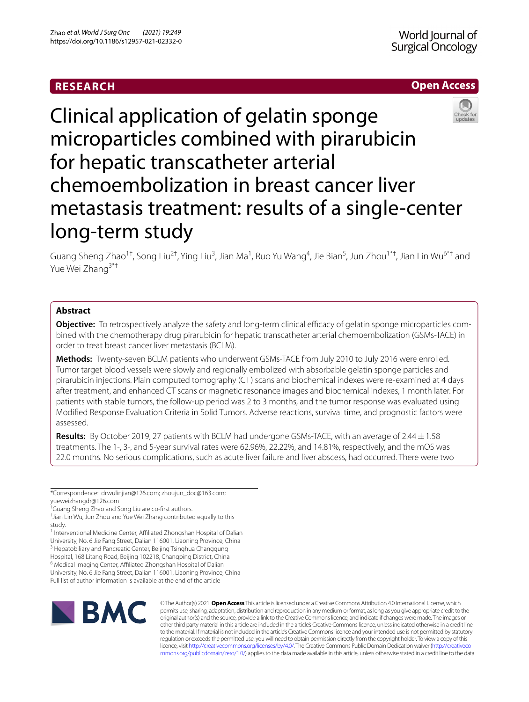# **RESEARCH**





Clinical application of gelatin sponge microparticles combined with pirarubicin for hepatic transcatheter arterial chemoembolization in breast cancer liver metastasis treatment: results of a single-center long-term study

Guang Sheng Zhao<sup>1†</sup>, Song Liu<sup>2†</sup>, Ying Liu<sup>3</sup>, Jian Ma<sup>1</sup>, Ruo Yu Wang<sup>4</sup>, Jie Bian<sup>5</sup>, Jun Zhou<sup>1\*†</sup>, Jian Lin Wu<sup>6\*†</sup> and Yue Wei Zhang<sup>3\*†</sup>

# **Abstract**

**Objective:** To retrospectively analyze the safety and long-term clinical efficacy of gelatin sponge microparticles combined with the chemotherapy drug pirarubicin for hepatic transcatheter arterial chemoembolization (GSMs-TACE) in order to treat breast cancer liver metastasis (BCLM).

**Methods:** Twenty-seven BCLM patients who underwent GSMs-TACE from July 2010 to July 2016 were enrolled. Tumor target blood vessels were slowly and regionally embolized with absorbable gelatin sponge particles and pirarubicin injections. Plain computed tomography (CT) scans and biochemical indexes were re-examined at 4 days after treatment, and enhanced CT scans or magnetic resonance images and biochemical indexes, 1 month later. For patients with stable tumors, the follow-up period was 2 to 3 months, and the tumor response was evaluated using Modifed Response Evaluation Criteria in Solid Tumors. Adverse reactions, survival time, and prognostic factors were assessed.

**Results:** By October 2019, 27 patients with BCLM had undergone GSMs-TACE, with an average of 2.44±1.58 treatments. The 1-, 3-, and 5-year survival rates were 62.96%, 22.22%, and 14.81%, respectively, and the mOS was 22.0 months. No serious complications, such as acute liver failure and liver abscess, had occurred. There were two

\*Correspondence: drwulinjian@126.com; zhoujun\_doc@163.com; yueweizhangdr@126.com

<sup>1</sup> Interventional Medicine Center, Affiliated Zhongshan Hospital of Dalian University, No. 6 Jie Fang Street, Dalian 116001, Liaoning Province, China <sup>3</sup> Hepatobiliary and Pancreatic Center, Beijing Tsinghua Changgung

Hospital, 168 Litang Road, Beijing 102218, Changping District, China

<sup>6</sup> Medical Imaging Center, Affiliated Zhongshan Hospital of Dalian

University, No. 6 Jie Fang Street, Dalian 116001, Liaoning Province, China Full list of author information is available at the end of the article



© The Author(s) 2021. **Open Access** This article is licensed under a Creative Commons Attribution 4.0 International License, which permits use, sharing, adaptation, distribution and reproduction in any medium or format, as long as you give appropriate credit to the original author(s) and the source, provide a link to the Creative Commons licence, and indicate if changes were made. The images or other third party material in this article are included in the article's Creative Commons licence, unless indicated otherwise in a credit line to the material. If material is not included in the article's Creative Commons licence and your intended use is not permitted by statutory regulation or exceeds the permitted use, you will need to obtain permission directly from the copyright holder. To view a copy of this licence, visit [http://creativecommons.org/licenses/by/4.0/.](http://creativecommons.org/licenses/by/4.0/) The Creative Commons Public Domain Dedication waiver ([http://creativeco](http://creativecommons.org/publicdomain/zero/1.0/) [mmons.org/publicdomain/zero/1.0/](http://creativecommons.org/publicdomain/zero/1.0/)) applies to the data made available in this article, unless otherwise stated in a credit line to the data.

<sup>†</sup> Guang Sheng Zhao and Song Liu are co-frst authors.

<sup>†</sup> Jian Lin Wu, Jun Zhou and Yue Wei Zhang contributed equally to this study.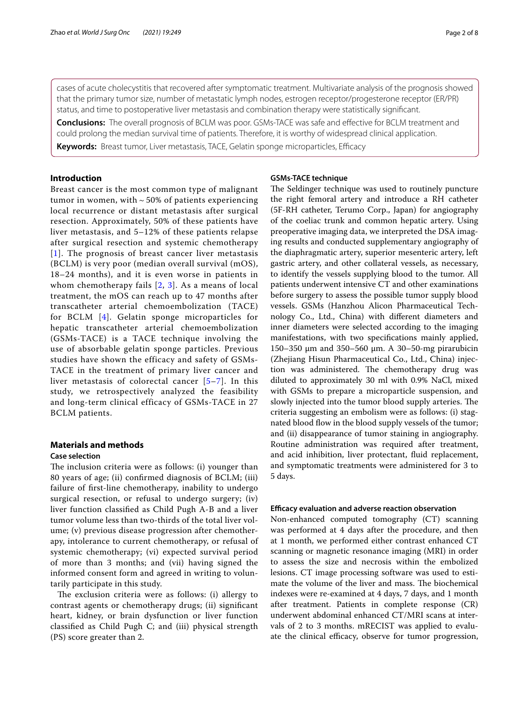cases of acute cholecystitis that recovered after symptomatic treatment. Multivariate analysis of the prognosis showed that the primary tumor size, number of metastatic lymph nodes, estrogen receptor/progesterone receptor (ER/PR) status, and time to postoperative liver metastasis and combination therapy were statistically signifcant.

**Conclusions:** The overall prognosis of BCLM was poor. GSMs-TACE was safe and efective for BCLM treatment and could prolong the median survival time of patients. Therefore, it is worthy of widespread clinical application.

**Keywords:** Breast tumor, Liver metastasis, TACE, Gelatin sponge microparticles, Efficacy

# **Introduction**

Breast cancer is the most common type of malignant tumor in women, with  $\sim$  50% of patients experiencing local recurrence or distant metastasis after surgical resection. Approximately, 50% of these patients have liver metastasis, and 5–12% of these patients relapse after surgical resection and systemic chemotherapy [[1](#page-6-0)]. The prognosis of breast cancer liver metastasis (BCLM) is very poor (median overall survival (mOS), 18–24 months), and it is even worse in patients in whom chemotherapy fails [[2](#page-6-1), [3](#page-6-2)]. As a means of local treatment, the mOS can reach up to 47 months after transcatheter arterial chemoembolization (TACE) for BCLM [[4\]](#page-6-3). Gelatin sponge microparticles for hepatic transcatheter arterial chemoembolization (GSMs-TACE) is a TACE technique involving the use of absorbable gelatin sponge particles. Previous studies have shown the efficacy and safety of GSMs-TACE in the treatment of primary liver cancer and liver metastasis of colorectal cancer [[5](#page-7-0)–[7\]](#page-7-1). In this study, we retrospectively analyzed the feasibility and long-term clinical efficacy of GSMs-TACE in 27 BCLM patients.

# **Materials and methods**

### **Case selection**

The inclusion criteria were as follows: (i) younger than 80 years of age; (ii) confrmed diagnosis of BCLM; (iii) failure of frst-line chemotherapy, inability to undergo surgical resection, or refusal to undergo surgery; (iv) liver function classifed as Child Pugh A-B and a liver tumor volume less than two-thirds of the total liver volume; (v) previous disease progression after chemotherapy, intolerance to current chemotherapy, or refusal of systemic chemotherapy; (vi) expected survival period of more than 3 months; and (vii) having signed the informed consent form and agreed in writing to voluntarily participate in this study.

The exclusion criteria were as follows: (i) allergy to contrast agents or chemotherapy drugs; (ii) signifcant heart, kidney, or brain dysfunction or liver function classifed as Child Pugh C; and (iii) physical strength (PS) score greater than 2.

## **GSMs‑TACE technique**

The Seldinger technique was used to routinely puncture the right femoral artery and introduce a RH catheter (5F-RH catheter, Terumo Corp., Japan) for angiography of the coeliac trunk and common hepatic artery. Using preoperative imaging data, we interpreted the DSA imaging results and conducted supplementary angiography of the diaphragmatic artery, superior mesenteric artery, left gastric artery, and other collateral vessels, as necessary, to identify the vessels supplying blood to the tumor. All patients underwent intensive CT and other examinations before surgery to assess the possible tumor supply blood vessels. GSMs (Hanzhou Alicon Pharmaceutical Technology Co., Ltd., China) with diferent diameters and inner diameters were selected according to the imaging manifestations, with two specifcations mainly applied, 150–350 μm and 350–560 μm. A 30–50-mg pirarubicin (Zhejiang Hisun Pharmaceutical Co., Ltd., China) injection was administered. The chemotherapy drug was diluted to approximately 30 ml with 0.9% NaCl, mixed with GSMs to prepare a microparticle suspension, and slowly injected into the tumor blood supply arteries. The criteria suggesting an embolism were as follows: (i) stagnated blood flow in the blood supply vessels of the tumor; and (ii) disappearance of tumor staining in angiography. Routine administration was required after treatment, and acid inhibition, liver protectant, fuid replacement, and symptomatic treatments were administered for 3 to 5 days.

### **Efcacy evaluation and adverse reaction observation**

Non-enhanced computed tomography (CT) scanning was performed at 4 days after the procedure, and then at 1 month, we performed either contrast enhanced CT scanning or magnetic resonance imaging (MRI) in order to assess the size and necrosis within the embolized lesions. CT image processing software was used to estimate the volume of the liver and mass. The biochemical indexes were re-examined at 4 days, 7 days, and 1 month after treatment. Patients in complete response (CR) underwent abdominal enhanced CT/MRI scans at intervals of 2 to 3 months. mRECIST was applied to evaluate the clinical efficacy, observe for tumor progression,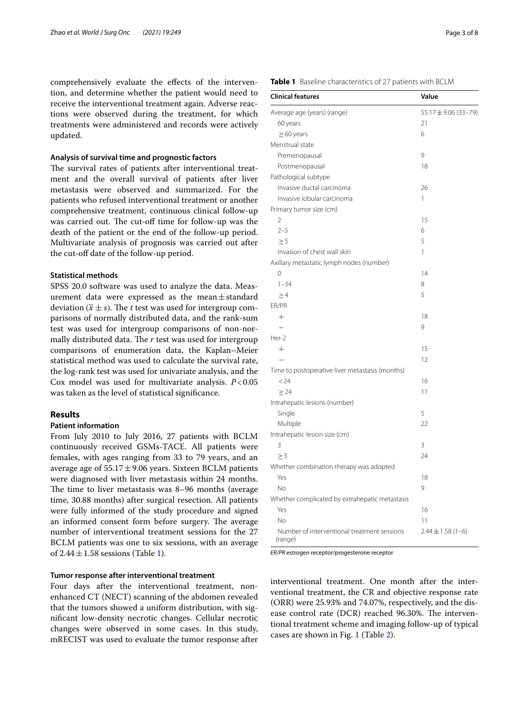comprehensively evaluate the efects of the intervention, and determine whether the patient would need to receive the interventional treatment again. Adverse reactions were observed during the treatment, for which treatments were administered and records were actively updated.

### **Analysis of survival time and prognostic factors**

The survival rates of patients after interventional treatment and the overall survival of patients after liver metastasis were observed and summarized. For the patients who refused interventional treatment or another comprehensive treatment, continuous clinical follow-up was carried out. The cut-off time for follow-up was the death of the patient or the end of the follow-up period. Multivariate analysis of prognosis was carried out after the cut-off date of the follow-up period.

# **Statistical methods**

SPSS 20.0 software was used to analyze the data. Measurement data were expressed as the mean $\pm$ standard deviation ( $\bar{x} \pm s$ ). The *t* test was used for intergroup comparisons of normally distributed data, and the rank-sum test was used for intergroup comparisons of non-normally distributed data. The *r* test was used for intergroup comparisons of enumeration data, the Kaplan–Meier statistical method was used to calculate the survival rate, the log-rank test was used for univariate analysis, and the Cox model was used for multivariate analysis. *P*<0.05 was taken as the level of statistical signifcance.

## **Results**

## **Patient information**

From July 2010 to July 2016, 27 patients with BCLM continuously received GSMs-TACE. All patients were females, with ages ranging from 33 to 79 years, and an average age of  $55.17 \pm 9.06$  years. Sixteen BCLM patients were diagnosed with liver metastasis within 24 months. The time to liver metastasis was 8-96 months (average time, 30.88 months) after surgical resection. All patients were fully informed of the study procedure and signed an informed consent form before surgery. The average number of interventional treatment sessions for the 27 BCLM patients was one to six sessions, with an average of  $2.44 \pm 1.58$  sessions (Table [1\)](#page-2-0).

# **Tumor response after interventional treatment**

Four days after the interventional treatment, nonenhanced CT (NECT) scanning of the abdomen revealed that the tumors showed a uniform distribution, with signifcant low-density necrotic changes. Cellular necrotic changes were observed in some cases. In this study, mRECIST was used to evaluate the tumor response after

<span id="page-2-0"></span>

| Table 1 Baseline characteristics of 27 patients with BCLM |
|-----------------------------------------------------------|

| <b>Clinical features</b>                               | Value                 |
|--------------------------------------------------------|-----------------------|
| Average age (years) (range)                            | 55.17±9.06 (33-79)    |
| 60 years                                               | 21                    |
| $\geq$ 60 years                                        | 6                     |
| Menstrual state                                        |                       |
| Premenopausal                                          | 9                     |
| Postmenopausal                                         | 18                    |
| Pathological subtype                                   |                       |
| Invasive ductal carcinoma                              | 26                    |
| Invasive lobular carcinoma                             | 1                     |
| Primary tumor size (cm)                                |                       |
| 2                                                      | 15                    |
| $2 - 5$                                                | 6                     |
| > 5                                                    | 5                     |
| Invasion of chest wall skin                            | $\mathbf{1}$          |
| Axillary metastatic lymph nodes (number)               |                       |
| 0                                                      | 14                    |
| $1 - 34$                                               | 8                     |
| $\geq$ 4                                               | 5                     |
| ER/PR                                                  |                       |
| $^+$                                                   | 18                    |
|                                                        | 9                     |
| Her-2                                                  |                       |
| $+$                                                    | 15                    |
|                                                        | 12                    |
| Time to postoperative liver metastasis (months)        |                       |
| < 24                                                   | 16                    |
| $\geq$ 24                                              | 11                    |
| Intrahepatic lesions (number)                          |                       |
| Single                                                 | 5                     |
| Multiple                                               | 22                    |
| Intrahepatic lesion size (cm)                          |                       |
| 3                                                      | 3                     |
| $\geq 3$                                               | 24                    |
| Whether combination therapy was adopted                |                       |
| Yes                                                    | 18                    |
| <b>No</b>                                              | 9                     |
| Whether complicated by extrahepatic metastasis         |                       |
| Yes                                                    | 16                    |
| No                                                     | 11                    |
| Number of interventional treatment sessions<br>(range) | $2.44 \pm 1.58$ (1-6) |

*ER/PR* estrogen receptor/progesterone receptor

interventional treatment. One month after the interventional treatment, the CR and objective response rate (ORR) were 25.93% and 74.07%, respectively, and the disease control rate (DCR) reached 96.30%. The interventional treatment scheme and imaging follow-up of typical cases are shown in Fig. [1](#page-3-0) (Table [2\)](#page-3-1).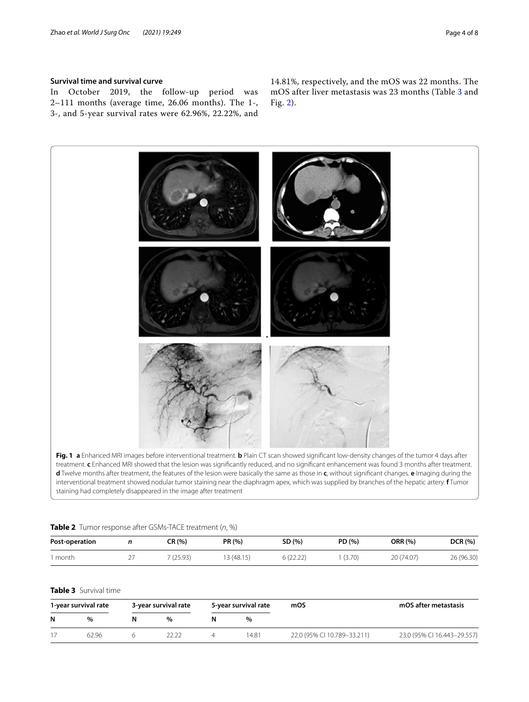# **Survival time and survival curve**

In October 2019, the follow-up period was 2–111 months (average time, 26.06 months). The 1-, 3-, and 5-year survival rates were 62.96%, 22.22%, and

14.81%, respectively, and the mOS was 22 months. The mOS after liver metastasis was 23 months (Table [3](#page-3-2) and Fig. [2\)](#page-4-0).



<span id="page-3-1"></span><span id="page-3-0"></span>

| <b>Table 2</b> Tumor response after GSMs-TACE treatment (n, %) |  |           |           |          |        |                |                |  |  |
|----------------------------------------------------------------|--|-----------|-----------|----------|--------|----------------|----------------|--|--|
| Post-operation                                                 |  | CR (%)    | PR (%)    | SD (%)   | PD (%) | <b>ORR (%)</b> | <b>DCR</b> (%) |  |  |
| month                                                          |  | 7 (25.93) | 3 (48.15) | 6(22.22) | (3.70) | 20 (74.07)     | 26 (96.30)     |  |  |

<span id="page-3-2"></span>

| <b>Table 3</b> Survival time |
|------------------------------|
|------------------------------|

| 1-year survival rate |       | 3-year survival rate |               | 5-year survival rate |       | mOS                         | mOS after metastasis        |  |
|----------------------|-------|----------------------|---------------|----------------------|-------|-----------------------------|-----------------------------|--|
| N                    | $\%$  |                      | $\frac{1}{2}$ | N                    | $\%$  |                             |                             |  |
|                      | 62 96 |                      |               |                      | 14.81 | 22.0 (95% CI 10.789-33.211) | 23.0 (95% CI 16.443-29.557) |  |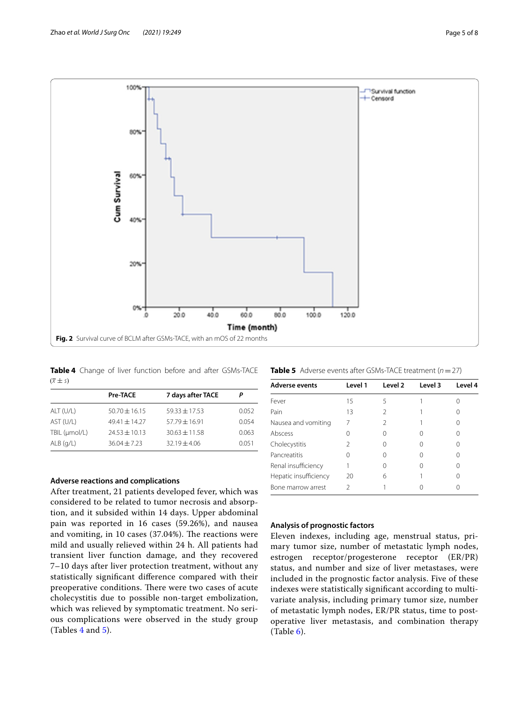

<span id="page-4-1"></span><span id="page-4-0"></span>**Table 4** Change of liver function before and after GSMs-TACE  $(\overline{x} \pm s)$ 

|               | <b>Pre-TACE</b>   | 7 days after TACE | Р     |
|---------------|-------------------|-------------------|-------|
| ALT (U/L)     | $50.70 \pm 16.15$ | $59.33 + 17.53$   | 0.052 |
| AST (U/L)     | $49.41 + 14.27$   | $57.79 + 16.91$   | 0.054 |
| TBIL (umol/L) | $74.53 \pm 10.13$ | $30.63 + 11.58$   | 0.063 |
| $ALB$ (g/L)   | $36.04 \pm 7.23$  | $32.19 \pm 4.06$  | 0.051 |

### **Adverse reactions and complications**

After treatment, 21 patients developed fever, which was considered to be related to tumor necrosis and absorption, and it subsided within 14 days. Upper abdominal pain was reported in 16 cases (59.26%), and nausea and vomiting, in  $10$  cases (37.04%). The reactions were mild and usually relieved within 24 h. All patients had transient liver function damage, and they recovered 7–10 days after liver protection treatment, without any statistically signifcant diference compared with their preoperative conditions. There were two cases of acute cholecystitis due to possible non-target embolization, which was relieved by symptomatic treatment. No serious complications were observed in the study group (Tables [4](#page-4-1) and [5](#page-4-2)).

<span id="page-4-2"></span>

| <b>Table 5</b> Adverse events after GSMs-TACE treatment $(n = 27)$ |  |
|--------------------------------------------------------------------|--|
|--------------------------------------------------------------------|--|

| Level 1 | Level 2 | Level 3 | Level 4 |
|---------|---------|---------|---------|
| 15      | 5       |         |         |
| 13      |         |         |         |
|         |         |         |         |
|         |         |         |         |
| 2       |         |         |         |
|         |         |         |         |
|         |         |         |         |
| 20      | 6       |         |         |
| C       |         |         |         |
|         |         |         |         |

### **Analysis of prognostic factors**

Eleven indexes, including age, menstrual status, primary tumor size, number of metastatic lymph nodes, estrogen receptor/progesterone receptor (ER/PR) status, and number and size of liver metastases, were included in the prognostic factor analysis. Five of these indexes were statistically signifcant according to multivariate analysis, including primary tumor size, number of metastatic lymph nodes, ER/PR status, time to postoperative liver metastasis, and combination therapy  $(Table 6).$  $(Table 6).$  $(Table 6).$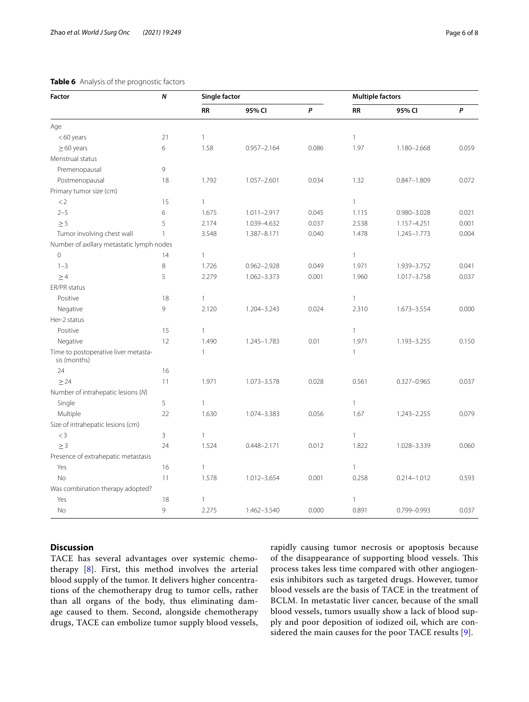# <span id="page-5-0"></span>**Table 6** Analysis of the prognostic factors

| Factor                                               | N            | <b>Single factor</b> |                 |       | <b>Multiple factors</b> |                 |       |
|------------------------------------------------------|--------------|----------------------|-----------------|-------|-------------------------|-----------------|-------|
|                                                      |              | <b>RR</b>            | 95% CI          | P     | <b>RR</b>               | 95% CI          | P     |
| Age                                                  |              |                      |                 |       |                         |                 |       |
| $<$ 60 years                                         | 21           | $\mathbf{1}$         |                 |       | $\mathbf{1}$            |                 |       |
| $\geq$ 60 years                                      | 6            | 1.58                 | $0.957 - 2.164$ | 0.086 | 1.97                    | 1.180-2.668     | 0.059 |
| Menstrual status                                     |              |                      |                 |       |                         |                 |       |
| Premenopausal                                        | 9            |                      |                 |       |                         |                 |       |
| Postmenopausal                                       | 18           | 1.792                | $1.057 - 2.601$ | 0.034 | 1.32                    | $0.847 - 1.809$ | 0.072 |
| Primary tumor size (cm)                              |              |                      |                 |       |                         |                 |       |
| $<$ 2                                                | 15           | $\mathbf{1}$         |                 |       | $\mathbf{1}$            |                 |       |
| $2 - 5$                                              | 6            | 1.675                | $1.011 - 2.917$ | 0.045 | 1.115                   | $0.980 - 3.028$ | 0.021 |
| $\geq 5$                                             | 5            | 2.174                | 1.039-4.632     | 0.037 | 2.538                   | 1.157-4.251     | 0.001 |
| Tumor involving chest wall                           | $\mathbf{1}$ | 3.548                | 1.387-8.171     | 0.040 | 1.478                   | 1.245-1.773     | 0.004 |
| Number of axillary metastatic lymph nodes            |              |                      |                 |       |                         |                 |       |
| $\overline{0}$                                       | 14           | $\mathbf{1}$         |                 |       | $\mathbf{1}$            |                 |       |
| $1 - 3$                                              | 8            | 1.726                | $0.962 - 2.928$ | 0.049 | 1.971                   | 1.939-3.752     | 0.041 |
| $\geq 4$                                             | 5            | 2.279                | 1.062-3.373     | 0.001 | 1.960                   | 1.017-3.758     | 0.037 |
| ER/PR status                                         |              |                      |                 |       |                         |                 |       |
| Positive                                             | 18           | $\mathbf{1}$         |                 |       | $\mathbf{1}$            |                 |       |
| Negative                                             | 9            | 2.120                | 1.204-3.243     | 0.024 | 2.310                   | 1.673-3.554     | 0.000 |
| Her-2 status                                         |              |                      |                 |       |                         |                 |       |
| Positive                                             | 15           | $\mathbf{1}$         |                 |       | $\mathbf{1}$            |                 |       |
| Negative                                             | 12           | 1.490                | 1.245-1.783     | 0.01  | 1.971                   | 1.193-3.255     | 0.150 |
| Time to postoperative liver metasta-<br>sis (months) |              | $\mathbf{1}$         |                 |       | $\mathbf{1}$            |                 |       |
| 24                                                   | 16           |                      |                 |       |                         |                 |       |
| $\geq$ 24                                            | 11           | 1.971                | 1.073-3.578     | 0.028 | 0.561                   | $0.327 - 0.965$ | 0.037 |
| Number of intrahepatic lesions (N)                   |              |                      |                 |       |                         |                 |       |
| Single                                               | 5            | $\mathbf{1}$         |                 |       | $\mathbf{1}$            |                 |       |
| Multiple                                             | 22           | 1.630                | 1.074-3.383     | 0.056 | 1.67                    | 1.243-2.255     | 0.079 |
| Size of intrahepatic lesions (cm)                    |              |                      |                 |       |                         |                 |       |
| $<$ 3                                                | 3            | $\mathbf{1}$         |                 |       | $\mathbf{1}$            |                 |       |
| $\geq 3$                                             | 24           | 1.524                | $0.448 - 2.171$ | 0.012 | 1.822                   | 1.028-3.339     | 0.060 |
| Presence of extrahepatic metastasis                  |              |                      |                 |       |                         |                 |       |
| Yes                                                  | 16           | $\mathbf{1}$         |                 |       | $\mathbf{1}$            |                 |       |
| <b>No</b>                                            | 11           | 1.578                | 1.012-3.654     | 0.001 | 0.258                   | $0.214 - 1.012$ | 0.593 |
| Was combination therapy adopted?                     |              |                      |                 |       |                         |                 |       |
| Yes                                                  | 18           | $\mathbf{1}$         |                 |       | $\mathbf{1}$            |                 |       |
| No                                                   | 9            | 2.275                | 1.462-3.540     | 0.000 | 0.891                   | 0.799-0.993     | 0.037 |

# **Discussion**

TACE has several advantages over systemic chemotherapy [[8\]](#page-7-2). First, this method involves the arterial blood supply of the tumor. It delivers higher concentrations of the chemotherapy drug to tumor cells, rather than all organs of the body, thus eliminating damage caused to them. Second, alongside chemotherapy drugs, TACE can embolize tumor supply blood vessels,

rapidly causing tumor necrosis or apoptosis because of the disappearance of supporting blood vessels. This process takes less time compared with other angiogenesis inhibitors such as targeted drugs. However, tumor blood vessels are the basis of TACE in the treatment of BCLM. In metastatic liver cancer, because of the small blood vessels, tumors usually show a lack of blood supply and poor deposition of iodized oil, which are considered the main causes for the poor TACE results [\[9](#page-7-3)].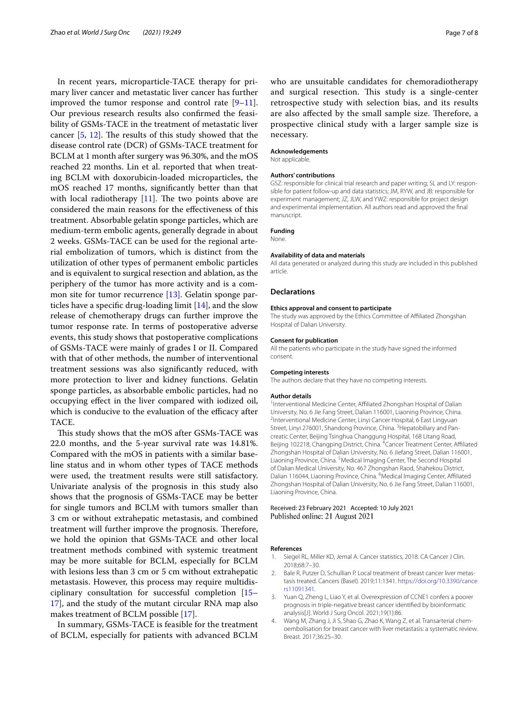In recent years, microparticle-TACE therapy for primary liver cancer and metastatic liver cancer has further improved the tumor response and control rate  $[9-11]$  $[9-11]$ . Our previous research results also confrmed the feasibility of GSMs-TACE in the treatment of metastatic liver cancer  $[5, 12]$  $[5, 12]$  $[5, 12]$ . The results of this study showed that the disease control rate (DCR) of GSMs-TACE treatment for BCLM at 1 month after surgery was 96.30%, and the mOS reached 22 months. Lin et al. reported that when treating BCLM with doxorubicin-loaded microparticles, the mOS reached 17 months, signifcantly better than that with local radiotherapy  $[11]$  $[11]$ . The two points above are considered the main reasons for the efectiveness of this treatment. Absorbable gelatin sponge particles, which are medium-term embolic agents, generally degrade in about 2 weeks. GSMs-TACE can be used for the regional arterial embolization of tumors, which is distinct from the utilization of other types of permanent embolic particles and is equivalent to surgical resection and ablation, as the periphery of the tumor has more activity and is a common site for tumor recurrence [\[13\]](#page-7-6). Gelatin sponge particles have a specifc drug-loading limit [[14](#page-7-7)], and the slow release of chemotherapy drugs can further improve the tumor response rate. In terms of postoperative adverse events, this study shows that postoperative complications of GSMs-TACE were mainly of grades I or II. Compared with that of other methods, the number of interventional treatment sessions was also signifcantly reduced, with more protection to liver and kidney functions. Gelatin sponge particles, as absorbable embolic particles, had no occupying efect in the liver compared with iodized oil, which is conducive to the evaluation of the efficacy after TACE.

This study shows that the mOS after GSMs-TACE was 22.0 months, and the 5-year survival rate was 14.81%. Compared with the mOS in patients with a similar baseline status and in whom other types of TACE methods were used, the treatment results were still satisfactory. Univariate analysis of the prognosis in this study also shows that the prognosis of GSMs-TACE may be better for single tumors and BCLM with tumors smaller than 3 cm or without extrahepatic metastasis, and combined treatment will further improve the prognosis. Therefore, we hold the opinion that GSMs-TACE and other local treatment methods combined with systemic treatment may be more suitable for BCLM, especially for BCLM with lesions less than 3 cm or 5 cm without extrahepatic metastasis. However, this process may require multidisciplinary consultation for successful completion [[15–](#page-7-8) [17\]](#page-7-9), and the study of the mutant circular RNA map also makes treatment of BCLM possible [[17](#page-7-9)].

In summary, GSMs-TACE is feasible for the treatment of BCLM, especially for patients with advanced BCLM who are unsuitable candidates for chemoradiotherapy and surgical resection. This study is a single-center retrospective study with selection bias, and its results are also affected by the small sample size. Therefore, a prospective clinical study with a larger sample size is necessary.

#### **Acknowledgements**

Not applicable.

#### **Authors' contributions**

GSZ: responsible for clinical trial research and paper writing; SL and LY: responsible for patient follow-up and data statistics; JM, RYW, and JB: responsible for experiment management; JZ, JLW, and YWZ: responsible for project design and experimental implementation. All authors read and approved the fnal manuscript.

### **Funding**

None.

## **Availability of data and materials**

All data generated or analyzed during this study are included in this published article.

### **Declarations**

#### **Ethics approval and consent to participate**

The study was approved by the Ethics Committee of Afliated Zhongshan Hospital of Dalian University.

#### **Consent for publication**

All the patients who participate in the study have signed the informed consent.

### **Competing interests**

The authors declare that they have no competing interests.

#### **Author details**

<sup>1</sup>Interventional Medicine Center, Affiliated Zhongshan Hospital of Dalian University, No. 6 Jie Fang Street, Dalian 116001, Liaoning Province, China. 2 <sup>2</sup>Interventional Medicine Center, Linyi Cancer Hospital, 6 East Lingyuan Street, Linyi 276001, Shandong Province, China. <sup>3</sup> Hepatobiliary and Pancreatic Center, Beijing Tsinghua Changgung Hospital, 168 Litang Road, Beijing 102218, Changping District, China. <sup>4</sup> Cancer Treatment Center, Affiliated Zhongshan Hospital of Dalian University, No. 6 Jiefang Street, Dalian 116001, Liaoning Province, China. <sup>5</sup> Medical Imaging Center, The Second Hospital of Dalian Medical University, No. 467 Zhongshan Raod, Shahekou District, Dalian 116044, Liaoning Province, China. <sup>6</sup>Medical Imaging Center, Affiliated Zhongshan Hospital of Dalian University, No. 6 Jie Fang Street, Dalian 116001, Liaoning Province, China.

### Received: 23 February 2021 Accepted: 10 July 2021 Published online: 21 August 2021

#### **References**

- <span id="page-6-0"></span>1. Siegel RL, Miller KD, Jemal A. Cancer statistics, 2018. CA Cancer J Clin. 2018;68:7–30.
- <span id="page-6-1"></span>2. Bale R, Putzer D, Schullian P. Local treatment of breast cancer liver metastasis treated. Cancers (Basel). 2019;11:1341. [https://doi.org/10.3390/cance](https://doi.org/10.3390/cancers11091341) [rs11091341](https://doi.org/10.3390/cancers11091341).
- <span id="page-6-2"></span>3. Yuan Q, Zheng L, Liao Y, et al. Overexpression of CCNE1 confers a poorer prognosis in triple-negative breast cancer identifed by bioinformatic analysis[J]. World J Surg Oncol. 2021;19(1):86.
- <span id="page-6-3"></span>4. Wang M, Zhang J, Ji S, Shao G, Zhao K, Wang Z, et al. Transarterial chemoembolisation for breast cancer with liver metastasis: a systematic review. Breast. 2017;36:25–30.